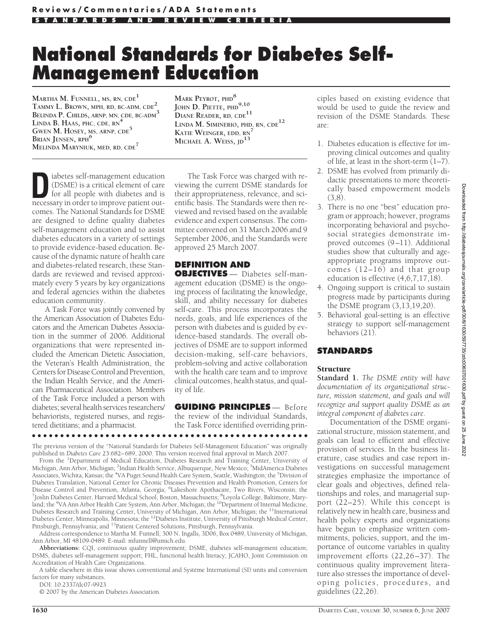# **National Standards for Diabetes Self-Management Education**

**MARTHA M. FUNNELL, MS, RN, CDE<sup>1</sup> TAMMY L. BROWN, MPH, RD, BC-ADM, CDE<sup>2</sup> BELINDA P. CHILDS, ARNP, MN, CDE, BC-ADM3 LINDA B. HAAS, PHC, CDE, RN<sup>4</sup> GWEN M. HOSEY, MS, ARNP, CDE<sup>5</sup> BRIAN JENSEN, RPH<sup>6</sup> MELINDA MARYNIUK, MED, RD, CDE<sup>7</sup>**

**MARK PEYROT, PHD<sup>8</sup> JOHN D. PIETTE, PHD9,10 DIANE READER, RD, CDE<sup>11</sup> LINDA M. SIMINERIO, PHD, RN, CDE<sup>12</sup> KATIE WEINGER, EDD, RN<sup>7</sup> MICHAEL A. WEISS, JD<sup>13</sup>**

**DEPERTUAN EXECUTE:** Is a critical element of care<br>for all people with diabetes and is<br>necessary in order to improve patient out-(DSME) is a critical element of care necessary in order to improve patient outcomes. The National Standards for DSME are designed to define quality diabetes self-management education and to assist diabetes educators in a variety of settings to provide evidence-based education. Because of the dynamic nature of health care and diabetes-related research, these Standards are reviewed and revised approximately every 5 years by key organizations and federal agencies within the diabetes education community.

A Task Force was jointly convened by the American Association of Diabetes Educators and the American Diabetes Association in the summer of 2006. Additional organizations that were represented included the American Dietetic Association, the Veteran's Health Administration, the Centers for Disease Control and Prevention, the Indian Health Service, and the American Pharmaceutical Association. Members of the Task Force included a person with diabetes; several health services researchers/ behaviorists, registered nurses, and registered dietitians; and a pharmacist.

The Task Force was charged with reviewing the current DSME standards for their appropriateness, relevance, and scientific basis. The Standards were then reviewed and revised based on the available evidence and expert consensus. The committee convened on 31 March 2006 and 9 September 2006, and the Standards were approved 25 March 2007.

## **DEFINITION AND**

**OBJECTIVES** — Diabetes self-management education (DSME) is the ongoing process of facilitating the knowledge, skill, and ability necessary for diabetes self-care. This process incorporates the needs, goals, and life experiences of the person with diabetes and is guided by evidence-based standards. The overall objectives of DSME are to support informed decision-making, self-care behaviors, problem-solving and active collaboration with the health care team and to improve clinical outcomes, health status, and quality of life.

**GUIDING PRINCIPLES** — Before the review of the individual Standards, the Task Force identified overriding prin-

●●●●●●●●●●●●●●●●●●●●●●●●●●●●●●●●●●●●●●●●●●●●●●●●●

The previous version of the "National Standards for Diabetes Self-Management Education" was originally published in *Diabetes Care* 23:682– 689, 2000. This version received final approval in March 2007.

From the <sup>1</sup>Department of Medical Education, Diabetes Research and Training Center, University of Michigan, Ann Arbor, Michigan; <sup>2</sup>Indian Health Service, Albuquerque, New Mexico; <sup>3</sup>MidAmerica Diabetes Associates, Wichita, Kansas; the <sup>4</sup>VA Puget Sound Health Care System, Seattle, Washington; the <sup>5</sup>Division of Diabetes Translation, National Center for Chronic Diseases Prevention and Health Promotion, Centers for Disease Control and Prevention, Atlanta, Georgia; <sup>6</sup>Lakeshore Apothacare, Two Rivers, Wisconsin; the Disease Control and Prevention, Atlanta, Georgia; <sup>o</sup>Lakeshore Apothacare, Two Rivers, Wisconsin; the<br><sup>7</sup>Joslin Diabetes Center, Harvard Medical School, Boston, Massachusetts; <sup>8</sup>Loyola College, Baltimore, Mary-<br>land; the Diabetes Research and Training Center, University of Michigan, Ann Arbor, Michigan; the <sup>11</sup>International Diabetes Center, Minneapolis, Minnesota; the <sup>12</sup>Diabetes Institute, University of Pittsburgh Medical Center, Pittsburgh, Pennsylvania; and 13Patient Centered Solutions, Pittsburgh, Pennsylvania.

Address correspondence to Martha M. Funnell, 300 N. Ingalls, 3D06, Box 0489, University of Michigan, Ann Arbor, MI 48109-0489. E-mail: mfunnell@umich.edu.

**Abbreviations:** CQI, continuous quality improvement; DSME, diabetes self-management education; DSMS, diabetes self-management support; FHL, functional health literacy; JCAHO, Joint Commission on Accreditation of Health Care Organizations.

A table elsewhere in this issue shows conventional and Système International (SI) units and conversion factors for many substances.

DOI: 10.2337/dc07-9923

© 2007 by the American Diabetes Association.

# Downloaded from http://diabetesjournals.org/care/article-pdf/30/630/597735/zdc00607001630.pdf by guest on 25 June 2022 Downloaded from http://diabetesjournals.org/care/article-pdf/30/6/1630/597735/zdc00607001630.pdf by guest on 25 June 2022

ciples based on existing evidence that would be used to guide the review and revision of the DSME Standards. These are:

- 1. Diabetes education is effective for improving clinical outcomes and quality of life, at least in the short-term (1–7).
- 2. DSME has evolved from primarily didactic presentations to more theoretically based empowerment models (3,8).
- 3. There is no one "best" education program or approach; however, programs incorporating behavioral and psychosocial strategies demonstrate improved outcomes (9-11). Additional studies show that culturally and ageappropriate programs improve outcomes (12–16) and that group education is effective (4,6,7,17,18).
- 4. Ongoing support is critical to sustain progress made by participants during the DSME program (3,13,19,20).
- 5. Behavioral goal-setting is an effective strategy to support self-management behaviors (21).

### **STANDARDS**

### Structure

**Standard 1.** *The DSME entity will have documentation of its organizational structure, mission statement, and goals and will recognize and support quality DSME as an integral component of diabetes care.*

Documentation of the DSME organizational structure, mission statement, and goals can lead to efficient and effective provision of services. In the business literature, case studies and case report investigations on successful management strategies emphasize the importance of clear goals and objectives, defined relationships and roles, and managerial support (22–25). While this concept is relatively new in health care, business and health policy experts and organizations have begun to emphasize written commitments, policies, support, and the importance of outcome variables in quality improvement efforts (22,26 –37). The continuous quality improvement literature also stresses the importance of developing policies, procedures, and guidelines (22,26).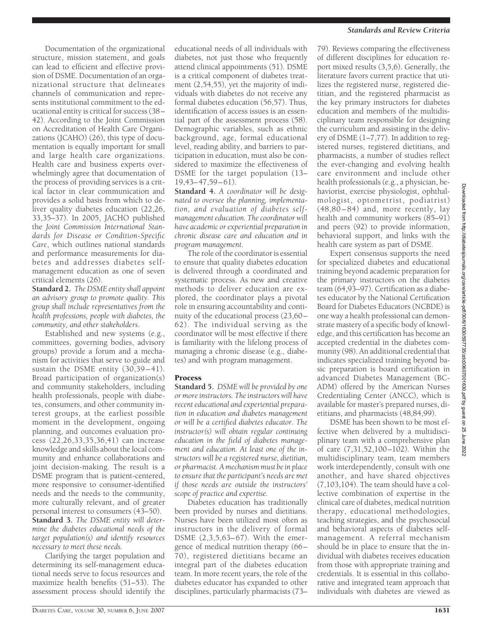Documentation of the organizational structure, mission statement, and goals can lead to efficient and effective provision of DSME. Documentation of an organizational structure that delineates channels of communication and represents institutional commitment to the educational entity is critical for success (38 – 42). According to the Joint Commission on Accreditation of Health Care Organizations (JCAHO) (26), this type of documentation is equally important for small and large health care organizations. Health care and business experts overwhelmingly agree that documentation of the process of providing services is a critical factor in clear communication and provides a solid basis from which to deliver quality diabetes education (22.26, 33,35–37). In 2005, JACHO published the *Joint Commission International Standards for Disease or Condition-Specific Care*, which outlines national standards and performance measurements for diabetes and addresses diabetes selfmanagement education as one of seven

critical elements (26). **Standard 2.** *The DSME entity shall appoint an advisory group to promote quality. This group shall include representatives from the health professions, people with diabetes, the community, and other stakeholders*.

Established and new systems (e.g., committees, governing bodies, advisory groups) provide a forum and a mechanism for activities that serve to guide and sustain the DSME entity (30,39-41). Broad participation of organization(s) and community stakeholders, including health professionals, people with diabetes, consumers, and other community interest groups, at the earliest possible moment in the development, ongoing planning, and outcomes evaluation process (22,26,33,35,36,41) can increase knowledge and skills about the local community and enhance collaborations and joint decision-making. The result is a DSME program that is patient-centered, more responsive to consumer-identified needs and the needs to the community, more culturally relevant, and of greater personal interest to consumers (43–50). **Standard 3.** *The DSME entity will determine the diabetes educational needs of the target population(s) and identify resources necessary to meet these needs.*

Clarifying the target population and determining its self-management educational needs serve to focus resources and maximize health benefits (51–53). The assessment process should identify the

educational needs of all individuals with diabetes, not just those who frequently attend clinical appointments (51). DSME is a critical component of diabetes treatment (2,54,55), yet the majority of individuals with diabetes do not receive any formal diabetes education (56,57). Thus, identification of access issues is an essential part of the assessment process (58). Demographic variables, such as ethnic background, age, formal educational level, reading ability, and barriers to participation in education, must also be considered to maximize the effectiveness of DSME for the target population (13–  $19,43 - 47,59 - 61$ ).

**Standard 4.** *A coordinator will be designated to oversee the planning, implementation, and evaluation of diabetes selfmanagement education. The coordinator will have academic or experiential preparation in chronic disease care and education and in program management*.

The role of the coordinator is essential to ensure that quality diabetes education is delivered through a coordinated and systematic process. As new and creative methods to deliver education are explored, the coordinator plays a pivotal role in ensuring accountability and continuity of the educational process (23,60 – 62). The individual serving as the coordinator will be most effective if there is familiarity with the lifelong process of managing a chronic disease (e.g., diabetes) and with program management.

### Process

**Standard 5.** *DSME will be provided by one or more instructors. The instructors will have recent educational and experiential preparation in education and diabetes management or will be a certified diabetes educator. The instructor(s) will obtain regular continuing education in the field of diabetes management and education. At least one of the instructors will be a registered nurse, dietitian, or pharmacist. A mechanism must be in place to ensure that the participant's needs are met if those needs are outside the instructors' scope of practice and expertise.*

Diabetes education has traditionally been provided by nurses and dietitians. Nurses have been utilized most often as instructors in the delivery of formal DSME (2,3,5,63–67). With the emergence of medical nutrition therapy (66 – 70), registered dietitians became an integral part of the diabetes education team. In more recent years, the role of the diabetes educator has expanded to other disciplines, particularly pharmacists (73–

### *Standards and Review Criteria*

79). Reviews comparing the effectiveness of different disciplines for education report mixed results (3,5,6). Generally, the literature favors current practice that utilizes the registered nurse, registered dietitian, and the registered pharmacist as the key primary instructors for diabetes education and members of the multidisciplinary team responsible for designing the curriculum and assisting in the delivery of DSME (1–7,77). In addition to registered nurses, registered dietitians, and pharmacists, a number of studies reflect the ever-changing and evolving health care environment and include other health professionals (e.g., a physician, behaviorist, exercise physiologist, ophthalmologist, optometrist, podiatrist)  $(48,80 - 84)$  and, more recently, lay health and community workers (85–91) and peers (92) to provide information, behavioral support, and links with the health care system as part of DSME.

Expert consensus supports the need for specialized diabetes and educational training beyond academic preparation for the primary instructors on the diabetes team (64,93–97). Certification as a diabetes educator by the National Certification Board for Diabetes Educators (NCBDE) is one way a health professional can demonstrate mastery of a specific body of knowledge, and this certification has become an accepted credential in the diabetes community (98). An additional credential that indicates specialized training beyond basic preparation is board certification in advanced Diabetes Management (BC-ADM) offered by the American Nurses Credentialing Center (ANCC), which is available for master's prepared nurses, dietitians, and pharmacists (48,84,99).

DSME has been shown to be most effective when delivered by a multidisciplinary team with a comprehensive plan of care (7,31,52,100 –102). Within the multidisciplinary team, team members work interdependently, consult with one another, and have shared objectives (7,103,104). The team should have a collective combination of expertise in the clinical care of diabetes, medical nutrition therapy, educational methodologies, teaching strategies, and the psychosocial and behavioral aspects of diabetes selfmanagement. A referral mechanism should be in place to ensure that the individual with diabetes receives education from those with appropriate training and credentials. It is essential in this collaborative and integrated team approach that individuals with diabetes are viewed as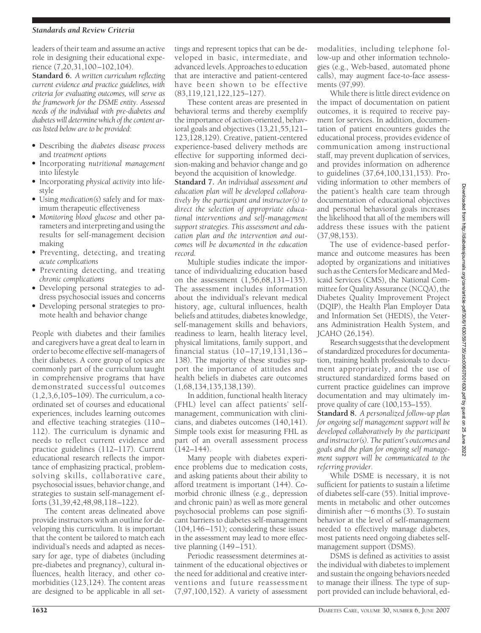leaders of their team and assume an active role in designing their educational experience (7,20,31,100 –102,104).

**Standard 6.** *A written curriculum reflecting current evidence and practice guidelines, with criteria for evaluating outcomes, will serve as the framework for the DSME entity. Assessed needs of the individual with pre-diabetes and diabetes will determine which of the content areas listed below are to be provided*:

- Describing the *diabetes disease process* and *treatment options*
- Incorporating *nutritional management* into lifestyle
- Incorporating *physical activity* into lifestyle
- Using *medication(s*) safely and for maximum therapeutic effectiveness
- *Monitoring blood glucose* and other parameters and interpreting and using the results for self-management decision making
- Preventing, detecting, and treating *acute complications*
- Preventing detecting, and treating *chronic complications*
- Developing personal strategies to address psychosocial issues and concerns
- Developing personal strategies to promote health and behavior change

People with diabetes and their families and caregivers have a great deal to learn in order to become effective self-managers of their diabetes. A core group of topics are commonly part of the curriculum taught in comprehensive programs that have demonstrated successful outcomes (1,2,3,6,105–109). The curriculum, a coordinated set of courses and educational experiences, includes learning outcomes and effective teaching strategies (110-112). The curriculum is dynamic and needs to reflect current evidence and practice guidelines (112–117). Current educational research reflects the importance of emphasizing practical, problemsolving skills, collaborative care, psychosocial issues, behavior change, and strategies to sustain self-management efforts (31.39.42.48.98.118-122).

The content areas delineated above provide instructors with an outline for developing this curriculum. It is important that the content be tailored to match each individual's needs and adapted as necessary for age, type of diabetes (including pre-diabetes and pregnancy), cultural influences, health literacy, and other comorbidities (123,124). The content areas are designed to be applicable in all set-

tings and represent topics that can be developed in basic, intermediate, and advanced levels. Approaches to education that are interactive and patient-centered have been shown to be effective (83,119,121,122,125–127).

These content areas are presented in behavioral terms and thereby exemplify the importance of action-oriented, behavioral goals and objectives (13,21,55,121– 123,128,129). Creative, patient-centered experience-based delivery methods are effective for supporting informed decision-making and behavior change and go beyond the acquisition of knowledge.

**Standard 7.** *An individual assessment and education plan will be developed collaboratively by the participant and instructor(s) to direct the selection of appropriate educational interventions and self-management support strategies. This assessment and education plan and the intervention and outcomes will be documented in the education record.*

Multiple studies indicate the importance of individualizing education based on the assessment (1,56,68,131–135). The assessment includes information about the individual's relevant medical history, age, cultural influences, health beliefs and attitudes, diabetes knowledge, self-management skills and behaviors, readiness to learn, health literacy level, physical limitations, family support, and financial status (10 –17,19,131,136 – 138). The majority of these studies support the importance of attitudes and health beliefs in diabetes care outcomes (1,68,134,135,138,139).

In addition, functional health literacy (FHL) level can affect patients' selfmanagement, communication with clinicians, and diabetes outcomes (140,141). Simple tools exist for measuring FHL as part of an overall assessment process  $(142–144)$ .

Many people with diabetes experience problems due to medication costs, and asking patients about their ability to afford treatment is important (144). Comorbid chronic illness (e.g., depression and chronic pain) as well as more general psychosocial problems can pose significant barriers to diabetes self-management  $(104, 146 - 151)$ ; considering these issues in the assessment may lead to more effective planning  $(149 - 151)$ .

Periodic reassessment determines attainment of the educational objectives or the need for additional and creative interventions and future reassessment (7,97,100,152). A variety of assessment

modalities, including telephone follow-up and other information technologies (e.g., Web-based, automated phone calls), may augment face-to-face assessments (97,99).

While there is little direct evidence on the impact of documentation on patient outcomes, it is required to receive payment for services. In addition, documentation of patient encounters guides the educational process, provides evidence of communication among instructional staff, may prevent duplication of services, and provides information on adherence to guidelines (37,64,100,131,153). Providing information to other members of the patient's health care team through documentation of educational objectives and personal behavioral goals increases the likelihood that all of the members will address these issues with the patient (37,98,153).

The use of evidence-based performance and outcome measures has been adopted by organizations and initiatives such asthe Centers for Medicare and Medicaid Services (CMS), the National Committee for Quality Assurance (NCQA), the Diabetes Quality Improvement Project (DQIP), the Health Plan Employer Data and Information Set (HEDIS), the Veterans Administration Health System, and JCAHO (26,154).

Research suggests that the development of standardized procedures for documentation, training health professionals to document appropriately, and the use of structured standardized forms based on current practice guidelines can improve documentation and may ultimately improve quality of care (100,153–155).

**Standard 8.** *A personalized follow-up plan for ongoing self management support will be developed collaboratively by the participant and instructor(s). The patient's outcomes and goals and the plan for ongoing self management support will be communicated to the referring provider.*

While DSME is necessary, it is not sufficient for patients to sustain a lifetime of diabetes self-care (55). Initial improvements in metabolic and other outcomes diminish after  $\sim$  6 months (3). To sustain behavior at the level of self-management needed to effectively manage diabetes, most patients need ongoing diabetes selfmanagement support (DSMS).

DSMS is defined as activities to assist the individual with diabetes to implement and sustain the ongoing behaviors needed to manage their illness. The type of support provided can include behavioral, ed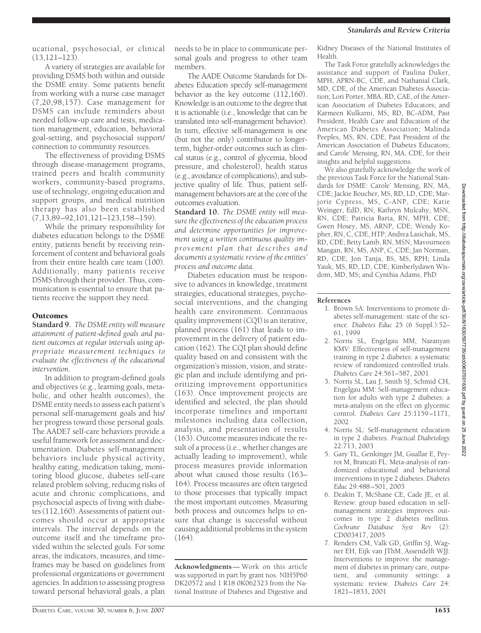ucational, psychosocial, or clinical  $(13,121-123)$ .

A variety of strategies are available for providing DSMS both within and outside the DSME entity. Some patients benefit from working with a nurse case manager (7,20,98,157). Case management for DSMS can include reminders about needed follow-up care and tests, medication management, education, behavioral goal-setting, and psychosocial support/ connection to community resources.

The effectiveness of providing DSMS through disease-management programs, trained peers and health community workers, community-based programs, use of technology, ongoing education and support groups, and medical nutrition therapy has also been established  $(7,13,89 - 92,101,121 - 123,158 - 159)$ .

While the primary responsibility for diabetes education belongs to the DSME entity, patients benefit by receiving reinforcement of content and behavioral goals from their entire health care team (100). Additionally, many patients receive DSMS through their provider. Thus, communication is essential to ensure that patients receive the support they need.

### **Outcomes**

**Standard 9.** *The DSME entity will measure attainment of patient-defined goals and patient outcomes at regular intervals using appropriate measurement techniques to evaluate the effectiveness of the educational intervention.*

In addition to program-defined goals and objectives (e.g., learning goals, metabolic, and other health outcomes), the DSME entity needs to assess each patient's personal self-management goals and his/ her progress toward those personal goals. The AADE7 self-care behaviors provide a useful framework for assessment and documentation. Diabetes self-management behaviors include physical activity, healthy eating, medication taking, monitoring blood glucose, diabetes self-care related problem solving, reducing risks of acute and chronic complications, and psychosocial aspects of living with diabetes (112,160). Assessments of patient outcomes should occur at appropriate intervals. The interval depends on the outcome itself and the timeframe provided within the selected goals. For some areas, the indicators, measures, and timeframes may be based on guidelines from professional organizations or government agencies. In addition to assessing progress toward personal behavioral goals, a plan

needs to be in place to communicate personal goals and progress to other team members.

The AADE Outcome Standards for Diabetes Education specify self-management behavior as the key outcome (112,160). Knowledge is an outcome to the degree that it is actionable (i.e., knowledge that can be translated into self-management behavior). In turn, effective self-management is one (but not the only) contributor to longerterm, higher-order outcomes such as clinical status (e.g., control of glycemia, blood pressure, and cholesterol), health status (e.g., avoidance of complications), and subjective quality of life. Thus, patient selfmanagement behaviors are at the core of the outcomes evaluation.

**Standard 10.** *The DSME entity will measure the effectiveness of the education process and determine opportunities for improvement using a written continuous quality improvement plan that describes and documents a systematic review of the entities' process and outcome data.*

Diabetes education must be responsive to advances in knowledge, treatment strategies, educational strategies, psychosocial interventions, and the changing health care environment. Continuous quality improvement (CQI) is an iterative, planned process (161) that leads to improvement in the delivery of patient education (162). The CQI plan should define quality based on and consistent with the organization's mission, vision, and strategic plan and include identifying and prioritizing improvement opportunities (163). Once improvement projects are identified and selected, the plan should incorporate timelines and important milestones including data collection, analysis, and presentation of results (163). Outcome measures indicate the result of a process (i.e., whether changes are actually leading to improvement), while process measures provide information about what caused those results (163– 164). Process measures are often targeted to those processes that typically impact the most important outcomes. Measuring both process and outcomes helps to ensure that change is successful without causing additional problems in the system (164).

**Acknowledgments**— Work on this article was supported in part by grant nos. NIH5P60 DK20572 and 1 R18 0K062323 from the National Institute of Diabetes and Digestive and

Kidney Diseases of the National Institutes of Health.

The Task Force gratefully acknowledges the assistance and support of Paulina Duker, MPH, APRN-BC, CDE, and Nathanial Clark, MD, CDE, of the American Diabetes Association; Lori Porter, MBA, RD, CAE, of the American Association of Diabetes Educators; and Karmeen Kulkarni, MS, RD, BC-ADM, Past President, Health Care and Education of the American Diabetes Association; Malinda Peeples, MS, RN, CDE, Past President of the American Association of Diabetes Educators; and Carole' Mensing, RN, MA, CDE, for their insights and helpful suggestions.

We also gratefully acknowledge the work of the previous Task Force for the National Standards for DSME: Carole' Mensing, RN, MA, CDE; Jackie Boucher, MS, RD, LD, CDE; Marjorie Cypress, MS, C-ANP, CDE; Katie Weinger, EdD, RN; Kathryn Mulcahy, MSN, RN, CDE; Patricia Barta, RN, MPH, CDE; Gwen Hosey, MS, ARNP, CDE; Wendy Kopher, RN, C, CDE, HTP; Andrea Lasichak, MS, RD, CDE; Betty Lamb, RN, MSN; Mavourneen Mangan, RN, MS, ANP, C, CDE; Jan Norman, RD, CDE; Jon Tanja, BS, MS, RPH; Linda Yauk, MS, RD, LD, CDE; Kimberlydawn Wisdom, MD, MS; and Cynthia Adams, PhD

### **References**

- 1. Brown SA: Interventions to promote diabetes self-management: state of the science. *Diabetes Educ* 25 (6 Suppl.):52– 61, 1999
- 2. Norris SL, Engelgau MM, Naranyan KMV: Effectiveness of self-management training in type 2 diabetes: a systematic review of randomized controlled trials. *Diabetes Care* 24:561–587, 2001
- 3. Norris SL, Lau J, Smith SJ, Schmid CH, Engelgau MM: Self-management education for adults with type 2 diabetes: a meta-analysis on the effect on glycemic control. *Diabetes Care* 25:1159 –1171, 2002
- 4. Norris SL: Self-management education in type 2 diabetes. *Practical Diabetology* 22:713, 2003
- 5. Gary TL, Genkinger JM, Guallar E, Peyrot M, Brancati FL: Meta-analysis of randomized educational and behavioral interventions in type 2 diabetes. *Diabetes Educ* 29:488 –501, 2003
- 6. Deakin T, McShane CE, Cade JE, et al. Review: group based education in selfmanagement strategies improves outcomes in type 2 diabetes mellitus. *Cochrane Database Syst Rev* (2): CD003417, 2005
- 7. Renders CM, Valk GD, Griffin SJ, Wagner EH, Eijk van JThM, Assendelft WJJ: Interventions to improve the management of diabetes in primary care, outpatient, and community settings: a systematic review. *Diabetes Care* 24: 1821–1833, 2001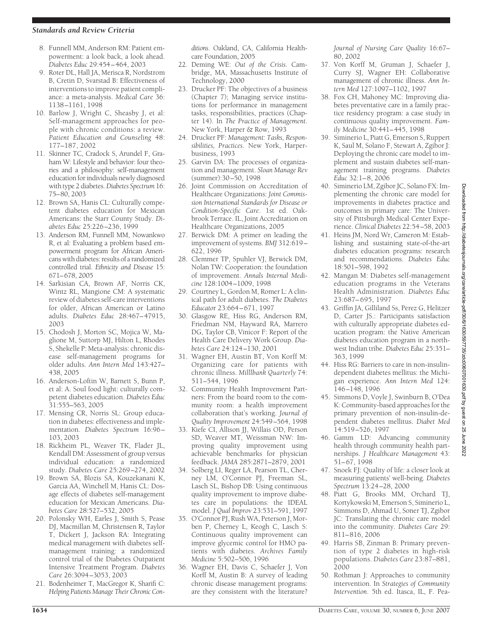- 8. Funnell MM, Anderson RM: Patient empowerment: a look back, a look ahead. *Diabetes Educ* 29:454 – 464, 2003
- 9. Roter DL, Hall JA, Merisca R, Nordstrom B, Cretin D, Svarstad B: Effectiveness of interventions to improve patient compliance: a meta-analysis. *Medical Care* 36: 1138 –1161, 1998
- 10. Barlow J, Wright C, Sheasby J, et al: Self-management approaches for people with chronic conditions: a review. *Patient Education and Counseling* 48: 177–187, 2002
- 11. Skinner TC, Cradock S, Arundel F, Graham W: Lifestyle and behavior: four theories and a philosophy: self-management education for individuals newly diagnosed with type 2 diabetes.*Diabetes Spectrum* 16: 75–80, 2003
- 12. Brown SA, Hanis CL: Culturally competent diabetes education for Mexican Americans: the Starr County Study. *Diabetes Educ* 25:226 –236, 1999
- 13. Anderson RM, Funnell MM, Nowankwo R, et al: Evaluating a problem based empowerment program for African Americans with diabetes: results of a randomized controlled trial. *Ethnicity and Disease* 15: 671–678, 2005
- 14. Sarkisian CA, Brown AF, Norris CK, Wintz RL, Mangione CM: A systematic review of diabetes self-care interventions for older, African American or Latino adults. *Diabetes Educ* 28:467– 47915, 2003
- 15. Chodosh J, Morton SC, Mojica W, Maglione M, Suttorp MJ, Hilton L, Rhodes S, Shekelle P: Meta-analysis: chronic disease self-management programs for older adults. *Ann Intern Med* 143:427– 438, 2005
- 16. Anderson-Loftin W, Barnett S, Bunn P, et al: A. Soul food light: culturally competent diabetes education. *Diabetes Educ* 31:555–563, 2005
- 17. Mensing CR, Norris SL: Group education in diabetes: effectiveness and implementation. *Diabetes Spectrum* 16:96 – 103, 2003
- 18. Rickheim PL, Weaver TK, Flader JL, Kendall DM: Assessment of group versus individual education: a randomized study. *Diabetes Care* 25:269 –274, 2002
- 19. Brown SA, Blozis SA, Kouzekanani K, Garcia AA, Winchell M, Hanis CL: Dosage effects of diabetes self-management education for Mexican Americans. *Diabetes Care* 28:527–532, 2005
- 20. Polonsky WH, Earles J, Smith S, Pease DJ, Macmillan M, Christensen R, Taylor T, Dickert J, Jackson RA: Integrating medical management with diabetes selfmanagement training: a randomized control trial of the Diabetes Outpatient Intensive Treatment Program. *Diabetes Care* 26:3094 –3053, 2003
- 21. Bodenheimer T, MacGregor K, Sharifi C: *Helping Patients Manage Their Chronic Con-*

*ditions*. Oakland, CA, California Healthcare Foundation, 2005

- 22. Deming WE: *Out of the Crisis*. Cambridge, MA, Massachusetts Institute of Technology, 2000
- 23. Drucker PF: The objectives of a business (Chapter 7); Managing service institutions for performance in management tasks, responsibilities, practices (Chapter 14). In *The Practice of Management*. New York, Harper & Row, 1993
- 24. Drucker PF: *Management: Tasks, Responsibilities, Practices*. New York, Harperbusiness, 1993
- 25. Garvin DA: The processes of organization and management. *Sloan Manage Rev* (summer):30 –50, 1998
- 26. Joint Commission on Accreditation of Healthcare Organizations: *Joint Commission International Standards for Disease or Condition-Specific Care*. 1st ed. Oakbrook Terrace. IL, Joint Accreditation on Healthcare Organizations, 2005
- 27. Berwick DM: A primer on leading the improvement of systems. *BMJ* 312:619 – 622, 1996
- 28. Clemmer TP, Spuhler VJ, Berwick DM, Nolan TW: Cooperation: the foundation of improvement. *Annals Internal Medicine* 128:1004 –1009, 1998
- 29. Courtney L, Gordon M, Romer L: A clinical path for adult diabetes. *The Diabetes Educato*r 23:664 – 671, 1997
- 30. Glasgow RE, Hiss RG, Anderson RM, Friedman NM, Hayward RA, Marrero DG, Taylor CB, Vinicor F: Report of the Health Care Delivery Work Group. *Diabetes Care* 24:124 –130, 2001
- 31. Wagner EH, Austin BT, Von Korff M: Organizing care for patients with chronic illness. *Milllbank Quarterly* 74: 511–544, 1996
- 32. Community Health Improvement Partners: From the board room to the community room: a health improvement collaboration that's working. *Journal of Quality Improvement* 24:549 –564, 1998
- 33. Kiefe CI, Allison JJ, Willais OD, Person SD, Weaver MT, Weissman NW: Improving quality improvement using achievable benchmarks for physician feedback. *JAMA* 285:2871–2879, 2001
- 34. Solberg LI, Reger LA, Pearson TL, Cherney LM, O'Connor PJ, Freeman SL, Lasch SL, Bishop DB: Using continuous quality improvement to improve diabetes care in populations: the IDEAL model. *J Qual Improv* 23:531–591, 1997
- 35. O'Connor PJ, Rush WA, Peterson J, Morben P, Cherney L, Keogh C, Lasch S: Continuous quality improvement can improve glycemic control for HMO patients with diabetes. *Archives Family Medicine* 5:502–506, 1996
- 36. Wagner EH, Davis C, Schaefer J, Von Korff M, Austin B: A survey of leading chronic disease management programs: are they consistent with the literature?

*Journal of Nursing Care Quality* 16:67– 80, 2002

- 37. Von Korff M, Gruman J, Schaefer J, Curry SJ, Wagner EH: Collaborative management of chronic illness. *Ann Intern Med* 127:1097–1102, 1997
- 38. Fox CH, Mahoney MC: Improving diabetes preventative care in a family practice residency program: a case study in continuous quality improvement. *Family Medicine* 30:441– 445, 1998
- 39. Siminerio L, Piatt G, Emerson S, Ruppert K, Saul M, Solano F, Stewart A, Zgibor J: Deploying the chronic care model to implement and sustain diabetes self-management training programs. *Diabetes Educ* 32:1– 8, 2006
- 40. Siminerio LM, Zgibor JC, Solano FX: Implementing the chronic care model for improvements in diabetes practice and outcomes in primary care: The University of Pittsburgh Medical Center Experience. *Clinical Diabetes* 22:54 –58, 2003
- 41. Heins JM, Nord Wr, Cameron M: Establishing and sustaining state-of-the-art diabetes education programs: research and recommendations. *Diabetes Educ* 18:501–598, 1992
- 42. Mangan M: Diabetes self-management education programs in the Veterans Health Administration. *Diabetes Educ* 23:687– 695, 1997
- 43. Griffin JA, Gilliland Ss, Perez G, Helitzer D, Carter JS.: Participants satisfaction with culturally appropriate diabetes education program: the Native American diabetes education program in a northwest Indian tribe. *Diabetes Educ* 25:351– 363, 1999
- 44. Hiss RG: Barriers to care in non-insulindependent diabetes mellitus: the Michigan experience. *Ann Intern Med* 124: 146 –148, 1996
- 45. Simmons D, Voyle J, Swinburn B, O'Dea K: Community-based approaches for the primary prevention of non-insulin-dependent diabetes mellitus. *Diabet Med* 14:519 –526, 1997
- 46. Gamm LD: Advancing community health through community health partnerships. *J Healthcare Management* 43: 51– 67, 1998
- 47. Snoek FJ: Quality of life: a closer look at measuring patients' well-being. *Diabetes Spectrum* 13:24 –28, 2000
- 48. Piatt G, Brooks MM, Orchard TJ, Kortykowski M, Emerson S, Siminerio L, Simmons D, Ahmad U, Soner TJ, Zgibor JC: Translating the chronic care model into the community. *Diabetes Care* 29: 811– 816, 2006
- 49. Harris SB, Zinman B: Primary prevention of type 2 diabetes in high-risk populations. *Diabetes Care* 23:87–881, 2000
- 50. Rothman J: Approaches to community intervention. In *Strategies of Community Intervention*. 5th ed. Itasca, IL, F. Pea-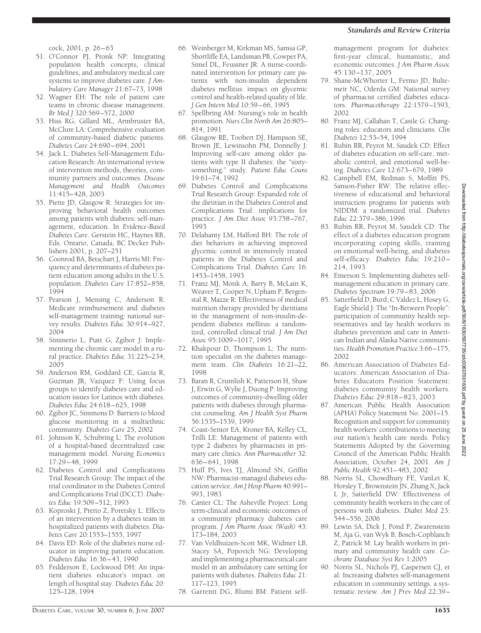cock, 2001, p. 26 – 63

- 51. O'Connor PJ, Pronk NP: Integrating population health concepts, clinical guidelines, and ambulatory medical care systems to improve diabetes care. *J Ambulatory Care Manager* 21:67–73, 1998
- 52. Wagner EH: The role of patient care teams in chronic disease management. *Br Med J* 320:569 –572, 2000
- 53. Hiss RG, Gillard ML, Armbruster BA, McClure LA: Comprehensive evaluation of community-based diabetic patients. *Diabetes Care* 24:690 – 694, 2001
- 54. Jack L: Diabetes Self-Management Education Research: An international review of intervention methods, theories, community partners and outcomes. *Disease Management and Health Outcomes* 11:415– 428, 2003
- 55. Piette JD, Glasgow R: Strategies for improving behavioral health outcomes among patients with diabetes: self-management, education. In *Evidence-Based Diabetes Care*. Gerstein HC, Haynes RB, Eds. Ontario, Canada, BC Decker Publishers 2001, p. 207–251
- 56. Coonrod BA, Betschart J, Harris MI: Frequency and determinants of diabetes patient education among adults in the U.S. population. *Diabetes Care* 17:852– 858, 1994
- 57. Pearson J, Mensing C, Anderson R: Medicare reimbursement and diabetes self-management training: national survey results. *Diabetes Educ* 30:914 –927, 2004
- 58. Siminerio L, Piatt G, Zgibor J: Implementing the chronic care model in a rural practice. *Diabetes Educ* 31:225–234, 2005
- 59. Anderson RM, Goddard CE, Garcia R, Guzman JR, Vazquez F: Using focus groups to identify diabetes care and education issues for Latinos with diabetes. *Diabetes Educ* 24:618 – 625, 1998
- 60. Zgibor JC, Simmons D: Barriers to blood glucose monitoring in a multiethnic community. *Diabetes Care* 25, 2002
- 61. Johnson K, Schubring L: The evolution of a hospital-based decentralized case management model. *Nursing Economics* 17:29 – 48, 1999
- 62. Diabetes Control and Complications Trial Research Group: The impact of the trial coordinator in the Diabetes Control and Complications Trial (DCCT). *Diabetes Educ* 19:509 –512, 1993
- 63. Koproski J, Pretto Z, Poretsky L: Effects of an intervention by a diabetes team in hospitalized patients with diabetes. *Diabetes Care* 20:1553–1555, 1997
- 64. Davis ED: Role of the diabetes nurse educator in improving patient education. *Diabetes Educ* 16:36 – 43, 1990
- 65. Fedderson E, Lockwood DH: An inpatient diabetes educator's impact on length of hospital stay. *Diabetes Educ* 20: 125–128, 1994
- 66. Weinberger M, Kirkman MS, Samsa GP, Shortliffe EA, Landsman PB, Cowper PA, Simel DL, Feussner JR: A nurse-coordinated intervention for primary care patients with non-insulin dependent diabetes mellitus: impact on glycemic control and health-related quality of life. *J Gen Intern Med* 10:59 – 66, 1995
- 67. Spellbring AM: Nursing's role in health promotion. *Nurs Clin North Am* 26:805– 814, 1991
- 68. Glasgow RE, Toobert DJ, Hampson SE, Brown JE, Lewinsohn PM, Donnelly J: Improving self-care among older patients with type II diabetes: the "sixtysomething." study. *Patient Educ Couns* 19:61–74, 1992
- 69. Diabetes Control and Complications Trial Research Group: Expanded role of the dietitian in the Diabetes Control and Complications Trial: implications for practice. *J Am Diet Assoc* 93:758 –767, 1993
- 70. Delahanty LM, Halford BH: The role of diet behaviors in achieving improved glycemic control in intensively treated patients in the Diabetes Control and Complications Trial. *Diabetes Care* 16: 1453–1458, 1993
- 71. Franz MJ, Monk A, Barry B, McLain K, Weaver T, Cooper N, Upham P, Bergenstal R, Mazze R: Effectiveness of medical nutrition therapy provided by dietitians in the management of non-insulin-dependent diabetes mellitus: a randomized, controlled clinical trial. *J Am Diet Assoc* 95:1009 –1017, 1995
- 72. Khakpour D, Thompson L: The nutrition specialist on the diabetes management team. *Clin Diabetes* 16:21–22, 1998
- 73. Baran R, Crumlish K, Patterson H, Shaw J, Erwin G, Wylie J, Duong P: Improving outcomes of community-dwelling older patients with diabetes through pharmacist counseling. *Am J Health Syst Pharm* 56:1535–1539, 1999
- 74. Coast-Senior EA, Kroner BA, Kelley CL, Trilli LE: Management of patients with type 2 diabetes by pharmacists in primary care clinics. *Ann Pharmacother* 32: 636 – 641, 1998
- 75. Huff PS, Ives TJ, Almond SN, Griffin NW: Pharmacist-managed diabetes education service. *Am J Hosp Pharm* 40:991– 993, 1983
- 76. Canter CL: The Asheville Project: Long term-clinical and economic outcomes of a community pharmacy diabetes care program. *J Am Pharm Assoc (Wash)* 43: 173–184, 2003
- 77. Van Veldhuizen-Scott MK, Widmer LB, Stacey SA, Popovich NG: Developing and implementing a pharmaceutical care model in an ambulatory care setting for patients with diabetes. *Diabetes Educ* 21: 117–123, 1995
- 78. Garrentt DG, Blumi BM: Patient self-

management program for diabetes: first-year clinical, humanistic, and economic outcomes. *J Am Pharm Assoc* 45:130 –137, 2005

- 79. Shane-McWhorter L, Fermo JD, Bultemeir NC, Oderda GM: National survey of pharmacist certified diabetes educators. *Pharmacotherapy* 22:1579 –1593, 2002
- 80. Franz MJ, Callahan T, Castle G: Changing roles: educators and clinicians. *Clin Diabetes* 12:53–54, 1994
- 81. Rubin RR, Peyrot M, Saudek CD: Effect of diabetes education on self-care, metabolic control, and emotional well-being. *Diabetes Care* 12:673– 679, 1989
- 82. Campbell EM, Redman S, Moffitt PS, Sanson-Fisher RW: The relative effectiveness of educational and behavioral instruction programs for patients with NIDDM: a randomized trial. *Diabetes Educ* 22:379 –386, 1996
- 83. Rubin RR, Peyrot M, Saudek CD: The effect of a diabetes education program incorporating coping skills, training on emotional well-being, and diabetes self-efficacy. *Diabetes Educ* 19:210 – 214, 1993
- 84. Emerson S: Implementing diabetes selfmanagement education in primary care. *Diabetes Spectrum* 19:79 – 83, 2006
- 85. Satterfield D, Burd, C Valdez L, Hosey G, Eagle Shield J: The "In-Between People": participation of community health representatives and lay health workers in diabetes prevention and care in American Indian and Alaska Native communities.*Health Promotion Practice* 3:66 –175, 2002
- 86. American Association of Diabetes Educators: American Association of Diabetes Educators Position Statement: diabetes community health workers. *Diabetes Educ* 29:818 – 823, 2003
- 87. American Public Health Association (APHA) Policy Statement No. 2001–15. Recognition and support for community health workers' contributions to meeting our nation's health care needs. Policy Statements Adopted by the Governing Council of the American Public Health Association, October 24, 2001. *Am J Public Health* 92:451– 483, 2002
- 88. Norris SL, Chowdhury FE, VanLet K, Horsley T, Brownstein JN, Zhang X, Jack L Jr, Satterfield DW: Effectiveness of community health workers in the care of persons with diabetes. *Diabet Med* 23: 544 –556, 2006
- 89. Lewin SA, Dick J, Pond P, Zwarenstein M, Aja G, van Wyk B, Bosch-Copblanch Z, Patrick M: Lay health workers in primary and community health care. *Cochrane Database Syst Rev* 1:2005
- 90. Norris SL, Nichols PJ, Caspersen CJ, et al: Increasing diabetes self-management education in community settings. a systematic review. *Am J Prev Med* 22:39 –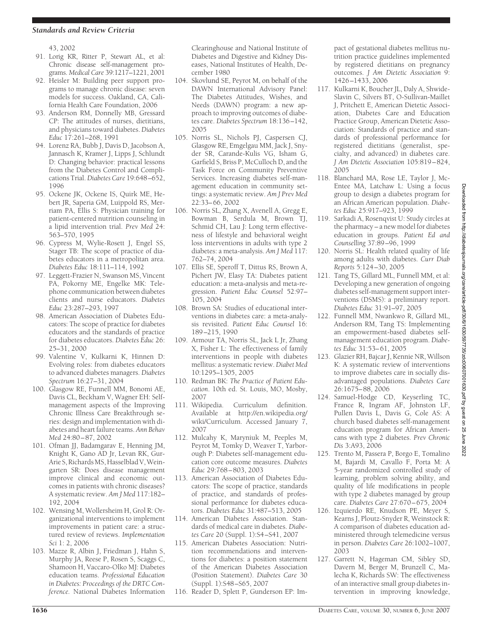43, 2002

- 91. Lorig KR, Ritter P, Stewart AL, et al: Chronic disease self-management programs. *Medical Care* 39:1217–1221, 2001
- 92. Heisler M: Building peer support programs to manage chronic disease: seven models for success. Oakland, CA, California Health Care Foundation, 2006
- 93. Anderson RM, Donnelly MB, Gressard CP: The attitudes of nurses, dietitians, and physicians toward diabetes. *Diabetes Educ* 17:261–268, 1991
- 94. Lorenz RA, Bubb J, Davis D, Jacobson A, Jannasch K, Kramer J, Lipps J, Schlundt D: Changing behavior: practical lessons from the Diabetes Control and Complications Trial.*Diabetes Care* 19:648 –652, 1996
- 95. Ockene JK, Ockene IS, Quirk ME, Hebert JR, Saperia GM, Luippold RS, Merriam PA, Ellis S: Physician training for patient-centered nutrition counseling in a lipid intervention trial. *Prev Med* 24: 563–570, 1995
- 96. Cypress M, Wylie-Rosett J, Engel SS, Stager TB: The scope of practice of diabetes educators in a metropolitan area. *Diabetes Educ* 18:111–114, 1992
- 97. Leggett-Frazier N, Swanson MS, Vincent PA, Pokorny ME, Engelke MK: Telephone communication between diabetes clients and nurse educators. *Diabetes Educ* 23:287–293, 1997
- 98. American Association of Diabetes Educators: The scope of practice for diabetes educators and the standards of practice for diabetes educators. *Diabetes Educ* 26: 25–31, 2000
- 99. Valentine V, Kulkarni K, Hinnen D: Evolving roles: from diabetes educators to advanced diabetes managers. *Diabetes Spectrum* 16:27–31, 2004
- 100. Glasgow RE, Funnell MM, Bonomi AE, Davis CL, Beckham V, Wagner EH: Selfmanagement aspects of the Improving Chronic Illness Care Breakthrough series: design and implementation with diabetes and heart failure teams. *Ann Behav Med* 24:80 – 87, 2002
- 101. Ofman JJ, Badamgarav E, Henning JM, Knight K, Gano AD Jr, Levan RK, Gur-Arie S, Richards MS, Hasselblad V, Weingarten SR: Does disease management improve clinical and economic outcomes in patients with chronic diseases? A systematic review. *Am J Med* 117:182– 192, 2004
- 102. Wensing M, Wollersheim H, Grol R: Organizational interventions to implement improvements in patient care: a structured review of reviews. *Implementation Sci* 1: 2, 2006
- 103. Mazze R, Albin J, Friedman J, Hahn S, Murphy JA, Reese P, Rosen S, Scaggs C, Shamoon H, Vaccaro-Olko MJ: Diabetes education teams. *Professional Education in Diabetes: Proceedings of the DRTC Conference.* National Diabetes Information

Clearinghouse and National Institute of Diabetes and Digestive and Kidney Diseases, National Institutes of Health, December 1980

- 104. Skovlund SE, Peyrot M, on behalf of the DAWN International Advisory Panel: The Diabetes Attitudes, Wishes, and Needs (DAWN) program: a new approach to improving outcomes of diabetes care. *Diabetes Spectrum* 18:136 –142, 2005
- 105. Norris SL, Nichols PJ, Caspersen CJ, Glasgow RE, Emgelgau MM, Jack J, Snyder SR, Carande-Kulis VG, Isham G, Garfield S, Briss P, McCulloch D, and the Task Force on Community Preventive Services. Increasing diabetes self-management education in community settings: a systematic review. *Am J Prev Med* 22:33– 66, 2002
- 106. Norris SL, Zhang X, Avenell A, Gregg E, Bowman B, Serdula M, Brown TJ, Schmid CH, Lau J: Long term effectiveness of lifestyle and behavioral weight loss interventions in adults with type 2 diabetes: a meta-analysis. *Am J Med* 117: 762–74, 2004
- 107. Ellis SE, Speroff T, Dittus RS, Brown A, Pichert JW, Elasy TA: Diabetes patient education: a meta-analysis and meta-regression. *Patient Educ Counsel* 52:97– 105, 2004
- 108. Brown SA: Studies of educational interventions in diabetes care: a meta-analysis revisited. *Patient Educ Counsel* 16: 189 –215, 1990
- 109. Armour TA, Norris SL, Jack L Jr, Zhang X, Fisher L: The effectiveness of family interventions in people with diabetes mellitus: a systematic review. *Diabet Med* 10:1295–1305, 2005
- 110. Redman BK: *The Practice of Patient Education*. 10th ed. St. Louis, MO, Mosby, 2007
- 111. Wikipedia. Curriculum definition. Available at http://en.wikipedia.org/ wiki/Curriculum. Accessed January 7, 2007
- 112. Mulcahy K, Maryniuk M, Peeples M, Peyrot M, Tomky D, Weaver T, Yarborough P: Diabetes self-management education core outcome measures. *Diabetes Educ* 29:768 – 803, 2003
- 113. American Association of Diabetes Educators: The scope of practice, standards of practice, and standards of professional performance for diabetes educators. *Diabetes Educ* 31:487–513, 2005
- 114. American Diabetes Association. Standards of medical care in diabetes. *Diabetes Care* 20 (Suppl. 1):S4 –S41, 2007
- 115. American Diabetes Association: Nutrition recommendations and interventions for diabetes: a position statement of the American Diabetes Association (Position Statement). *Diabetes Care* 30 (Suppl. 1):S48 –S65, 2007
- 116. Reader D, Splett P, Gunderson EP: Im-

pact of gestational diabetes mellitus nutrition practice guidelines implemented by registered dietitians on pregnancy outcomes. *J Am Dietetic Association* 9: 1426 –1433, 2006

- 117. Kulkarni K, Boucher JL, Daly A, Shwide-Slavin C, Silvers BT, O-Sullivan-Maillet J, Pritchett E, American Dietetic Association, Diabetes Care and Education Practice Group, American Dietetic Association: Standards of practice and standards of professional performance for registered dietitians (generalist, specialty, and advanced) in diabetes care. *J Am Dietetic Association* 105:819 – 824, 2005
- 118. Blanchard MA, Rose LE, Taylor J, Mc-Entee MA, Latchaw L: Using a focus group to design a diabetes program for an African American population. *Diabetes Educ* 25:917–923, 1999
- 119. Sarkadi A, Rosenqvist U: Study circles at the pharmacy – a new model for diabetes education in groups. *Patient Ed and Counselling* 37:89 –96, 1999
- 120. Norris SL: Health related quality of life among adults with diabetes. *Curr Diab Reports* 5:124 –30, 2005
- 121. Tang TS, Gillard ML, Funnell MM, et al: Developing a new generation of ongoing diabetes self-management support interventions (DSMS): a preliminary report. *Diabetes Educ* 31:91–97, 2005
- 122. Funnell MM, Nwankwo R, Gillard ML, Anderson RM, Tang TS: Implementing an empowerment-based diabetes selfmanagement education program. *Diabetes Educ* 31:53– 61, 2005
- 123. Glazier RH, Bajcar J, Kennie NR, Willson K: A systematic review of interventions to improve diabetes care in socially disadvantaged populations. *Diabetes Care* 26:1675– 88, 2006
- 124. Samuel-Hodge CD, Keyserling TC, France R, Ingram AF, Johnston LF, Pullen Davis L, Davis G, Cole AS: A church based diabetes self-management education program for African Americans with type 2 diabetes. *Prev Chronic Dis* 3:A93, 2006
- 125. Trento M, Passera P, Borgo E, Tomalino M, Bajardi M, Cavallo F, Porta M: A 5-year randomized controlled study of learning, problem solving ability, and quality of life modifications in people with type 2 diabetes managed by group care. *Diabetes Care* 27:670 – 675, 2004
- 126. Izquierdo RE, Knudson PE, Meyer S, Kearns J, Ploutz-Snyder R, Weinstock R: A comparison of diabetes education administered through telemedicine versus in person. *Diabetes Care* 26:1002–1007, 2003
- 127. Garrett N, Hageman CM, Sibley SD, Davern M, Berger M, Brunzell C, Malecha K, Richards SW: The effectiveness of an interactive small group diabetes intervention in improving knowledge,